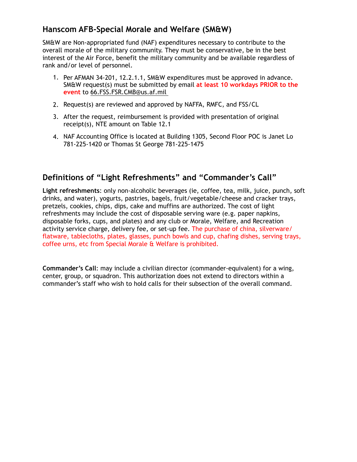## **Hanscom AFB-Special Morale and Welfare (SM&W)**

SM&W are Non-appropriated fund (NAF) expenditures necessary to contribute to the overall morale of the military community. They must be conservative, be in the best interest of the Air Force, benefit the military community and be available regardless of rank and/or level of personnel.

- 1. Per AFMAN 34-201, 12.2.1.1, SM&W expenditures must be approved in advance. SM&W request(s) must be submitted by email **at least 10 workdays PRIOR to the event** to [66.FSS.FSR.CMB@us.af.mil](mailto:66.FSS.FSR.CMB@us.af.mil)
- 2. Request(s) are reviewed and approved by NAFFA, RMFC, and FSS/CL
- 3. After the request, reimbursement is provided with presentation of original receipt(s), NTE amount on Table 12.1
- 4. NAF Accounting Office is located at Building 1305, Second Floor POC is Janet Lo 781-225-1420 or Thomas St George 781-225-1475

## **Definitions of "Light Refreshments" and "Commander's Call"**

**Light refreshments**: only non-alcoholic beverages (ie, coffee, tea, milk, juice, punch, soft drinks, and water), yogurts, pastries, bagels, fruit/vegetable/cheese and cracker trays, pretzels, cookies, chips, dips, cake and muffins are authorized. The cost of light refreshments may include the cost of disposable serving ware (e.g. paper napkins, disposable forks, cups, and plates) and any club or Morale, Welfare, and Recreation activity service charge, delivery fee, or set-up fee. The purchase of china, silverware/ flatware, tablecloths, plates, glasses, punch bowls and cup, chafing dishes, serving trays, coffee urns, etc from Special Morale & Welfare is prohibited.

**Commander's Call**: may include a civilian director (commander-equivalent) for a wing, center, group, or squadron. This authorization does not extend to directors within a commander's staff who wish to hold calls for their subsection of the overall command.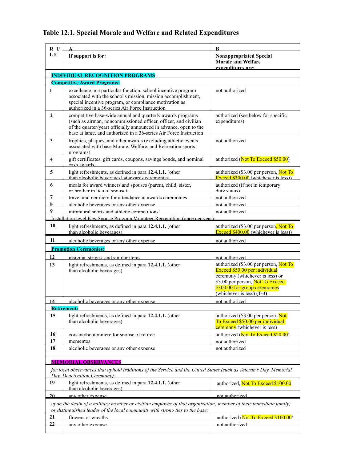## **Table 12.1. Special Morale and Welfare and Related Expenditures**

| R U                                                                                                                                                                                              |                                                                                                                                                                                                                                                                          | B                                                                                                                                                                                                             |  |
|--------------------------------------------------------------------------------------------------------------------------------------------------------------------------------------------------|--------------------------------------------------------------------------------------------------------------------------------------------------------------------------------------------------------------------------------------------------------------------------|---------------------------------------------------------------------------------------------------------------------------------------------------------------------------------------------------------------|--|
| LE                                                                                                                                                                                               | If support is for:                                                                                                                                                                                                                                                       | <b>Nonappropriated Special</b><br><b>Morale and Welfare</b><br>expenditures are:                                                                                                                              |  |
| <b>INDIVIDUAL RECOGNITION PROGRAMS</b>                                                                                                                                                           |                                                                                                                                                                                                                                                                          |                                                                                                                                                                                                               |  |
| <b>Competitive Award Programs:</b>                                                                                                                                                               |                                                                                                                                                                                                                                                                          |                                                                                                                                                                                                               |  |
| 1                                                                                                                                                                                                | excellence in a particular function, school incentive program<br>associated with the school's mission, mission accomplishment,<br>special incentive program, or compliance motivation as<br>authorized in a 36-series Air Force Instruction                              | not authorized                                                                                                                                                                                                |  |
| 2                                                                                                                                                                                                | competitive base-wide annual and quarterly awards programs<br>(such as airman, noncommissioned officer, officer, and civilian<br>of the quarter/year) officially announced in advance, open to the<br>base at large, and authorized in a 36-series Air Force Instruction | authorized (see below for specific<br>expenditures)                                                                                                                                                           |  |
| 3                                                                                                                                                                                                | trophies, plaques, and other awards (excluding athletic events<br>associated with base Morale, Welfare, and Recreation sports<br>programs)                                                                                                                               | not authorized                                                                                                                                                                                                |  |
| 4                                                                                                                                                                                                | gift certificates, gift cards, coupons, savings bonds, and nominal<br>cash awards                                                                                                                                                                                        | authorized (Not To Exceed \$50.00)                                                                                                                                                                            |  |
| 5                                                                                                                                                                                                | light refreshments, as defined in para 12.4.1.1. (other<br>than alcoholic beverages) at awards ceremonies                                                                                                                                                                | authorized (\$3.00 per person, Not To<br>Exceed $$300.00$ (whichever is less))                                                                                                                                |  |
| 6                                                                                                                                                                                                | meals for award winners and spouses (parent, child, sister,<br>or brother in lieu of spouse)                                                                                                                                                                             | authorized (if not in temporary<br>duty status)                                                                                                                                                               |  |
| 7                                                                                                                                                                                                | travel and ner diem for attendance at awards ceremonies                                                                                                                                                                                                                  | not authorized                                                                                                                                                                                                |  |
| 8                                                                                                                                                                                                | alcoholic beverages or any other expense                                                                                                                                                                                                                                 | not authorized                                                                                                                                                                                                |  |
| 9                                                                                                                                                                                                | intramural sports and athletic competitions                                                                                                                                                                                                                              | not authorized                                                                                                                                                                                                |  |
|                                                                                                                                                                                                  | Installation level Key Snouse Program Volunteer Recognition (once ner year)                                                                                                                                                                                              |                                                                                                                                                                                                               |  |
| 10                                                                                                                                                                                               | light refreshments, as defined in para 12.4.1.1. (other<br>than alcoholic beverages)                                                                                                                                                                                     | authorized (\$3.00 per person, Not To<br>Exceed \$400.00 (whichever is less))                                                                                                                                 |  |
| 11                                                                                                                                                                                               | alcoholic beverages or any other expense                                                                                                                                                                                                                                 | not authorized                                                                                                                                                                                                |  |
| <b>Promotion Ceremonies:</b>                                                                                                                                                                     |                                                                                                                                                                                                                                                                          |                                                                                                                                                                                                               |  |
| 12                                                                                                                                                                                               | insignia stripes and similar items                                                                                                                                                                                                                                       | not authorized                                                                                                                                                                                                |  |
| 13                                                                                                                                                                                               | light refreshments, as defined in para 12.4.1.1. (other<br>than alcoholic beverages)                                                                                                                                                                                     | authorized (\$3.00 per person, Not To<br>Exceed \$50.00 per individual<br>ceremony (whichever is less) or<br>\$3.00 per person, Not To Exceed<br>\$300.00 for group ceremonies<br>(whichever is less) $(T-3)$ |  |
| 14                                                                                                                                                                                               | alcoholic beverages or any other expense                                                                                                                                                                                                                                 | not authorized                                                                                                                                                                                                |  |
|                                                                                                                                                                                                  | <b>Retirement:</b>                                                                                                                                                                                                                                                       |                                                                                                                                                                                                               |  |
| 15                                                                                                                                                                                               | light refreshments, as defined in para 12.4.1.1. (other<br>than alcoholic beverages)                                                                                                                                                                                     | authorized (\$3.00 per person, Not<br>To Exceed \$50.00 per individual<br>ceremony (whichever is less)                                                                                                        |  |
| <u> 16</u>                                                                                                                                                                                       | corsage/houtonniere for snouse of retiree.                                                                                                                                                                                                                               | authorized (Not To Exceed \$20.00).                                                                                                                                                                           |  |
| 17                                                                                                                                                                                               | mementos                                                                                                                                                                                                                                                                 | not authorized                                                                                                                                                                                                |  |
| 18                                                                                                                                                                                               | alcoholic beverages or any other expense                                                                                                                                                                                                                                 | not authorized                                                                                                                                                                                                |  |
|                                                                                                                                                                                                  |                                                                                                                                                                                                                                                                          |                                                                                                                                                                                                               |  |
| <b>MEMORIAL OBSERVANCES</b>                                                                                                                                                                      |                                                                                                                                                                                                                                                                          |                                                                                                                                                                                                               |  |
| for local observances that uphold traditions of the Service and the United States (such as Veteran's Day, Memorial<br>Day, Deactivation Ceremony):                                               |                                                                                                                                                                                                                                                                          |                                                                                                                                                                                                               |  |
| 19                                                                                                                                                                                               | light refreshments, as defined in para 12.4.1.1. (other<br>than alcoholic beverages)                                                                                                                                                                                     | authorized, Not To Exceed \$100.00                                                                                                                                                                            |  |
| 20                                                                                                                                                                                               | any other expense                                                                                                                                                                                                                                                        | not authorized                                                                                                                                                                                                |  |
| upon the death of a military member or civilian employee of that organization; member of their immediate family;<br>or distinguished leader of the local community with strong ties to the base: |                                                                                                                                                                                                                                                                          |                                                                                                                                                                                                               |  |
| <u>21</u>                                                                                                                                                                                        | flowers or wreaths                                                                                                                                                                                                                                                       | authorized (Not To Exceed \$100 00)                                                                                                                                                                           |  |
| $\overline{22}$                                                                                                                                                                                  | any other expense                                                                                                                                                                                                                                                        | not authorized                                                                                                                                                                                                |  |
|                                                                                                                                                                                                  |                                                                                                                                                                                                                                                                          |                                                                                                                                                                                                               |  |